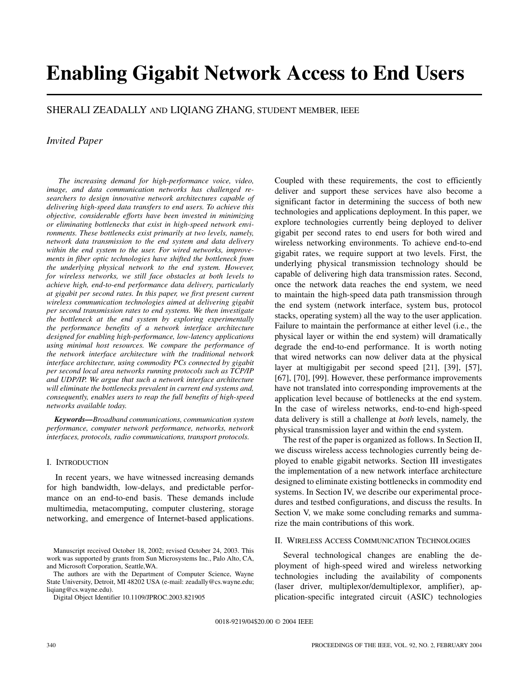# **Enabling Gigabit Network Access to End Users**

SHERALI ZEADALLY AND LIQIANG ZHANG, STUDENT MEMBER, IEEE

## *Invited Paper*

*The increasing demand for high-performance voice, video, image, and data communication networks has challenged researchers to design innovative network architectures capable of delivering high-speed data transfers to end users. To achieve this objective, considerable efforts have been invested in minimizing or eliminating bottlenecks that exist in high-speed network environments. These bottlenecks exist primarily at two levels, namely, network data transmission to the end system and data delivery within the end system to the user. For wired networks, improvements in fiber optic technologies have shifted the bottleneck from the underlying physical network to the end system. However, for wireless networks, we still face obstacles at both levels to achieve high, end-to-end performance data delivery, particularly at gigabit per second rates. In this paper, we first present current wireless communication technologies aimed at delivering gigabit per second transmission rates to end systems. We then investigate the bottleneck at the end system by exploring experimentally the performance benefits of a network interface architecture designed for enabling high-performance, low-latency applications using minimal host resources. We compare the performance of the network interface architecture with the traditional network interface architecture, using commodity PCs connected by gigabit per second local area networks running protocols such as TCP/IP and UDP/IP. We argue that such a network interface architecture will eliminate the bottlenecks prevalent in current end systems and, consequently, enables users to reap the full benefits of high-speed networks available today.*

*Keywords—Broadband communications, communication system performance, computer network performance, networks, network interfaces, protocols, radio communications, transport protocols.*

## I. INTRODUCTION

In recent years, we have witnessed increasing demands for high bandwidth, low-delays, and predictable performance on an end-to-end basis. These demands include multimedia, metacomputing, computer clustering, storage networking, and emergence of Internet-based applications.

Manuscript received October 18, 2002; revised October 24, 2003. This work was supported by grants from Sun Microsystems Inc., Palo Alto, CA, and Microsoft Corporation, Seattle,WA.

The authors are with the Department of Computer Science, Wayne State University, Detroit, MI 48202 USA (e-mail: zeadally@cs.wayne.edu; liqiang@cs.wayne.edu).

Coupled with these requirements, the cost to efficiently deliver and support these services have also become a significant factor in determining the success of both new technologies and applications deployment. In this paper, we explore technologies currently being deployed to deliver gigabit per second rates to end users for both wired and wireless networking environments. To achieve end-to-end gigabit rates, we require support at two levels. First, the underlying physical transmission technology should be capable of delivering high data transmission rates. Second, once the network data reaches the end system, we need to maintain the high-speed data path transmission through the end system (network interface, system bus, protocol stacks, operating system) all the way to the user application. Failure to maintain the performance at either level (i.e., the physical layer or within the end system) will dramatically degrade the end-to-end performance. It is worth noting that wired networks can now deliver data at the physical layer at multigigabit per second speed [\[21](#page-11-0)], [[39\]](#page-12-0), [\[57](#page-12-0)], [\[67](#page-12-0)], [[70\]](#page-12-0), [[99\]](#page-13-0). However, these performance improvements have not translated into corresponding improvements at the application level because of bottlenecks at the end system. In the case of wireless networks, end-to-end high-speed data delivery is still a challenge at *both* levels, namely, the physical transmission layer and within the end system.

The rest of the paper is organized as follows. In Section II, we discuss wireless access technologies currently being deployed to enable gigabit networks. Section III investigates the implementation of a new network interface architecture designed to eliminate existing bottlenecks in commodity end systems. In Section IV, we describe our experimental procedures and testbed configurations, and discuss the results. In Section V, we make some concluding remarks and summarize the main contributions of this work.

#### II. WIRELESS ACCESS COMMUNICATION TECHNOLOGIES

Several technological changes are enabling the deployment of high-speed wired and wireless networking technologies including the availability of components (laser driver, multiplexor/demultiplexor, amplifier), application-specific integrated circuit (ASIC) technologies

Digital Object Identifier 10.1109/JPROC.2003.821905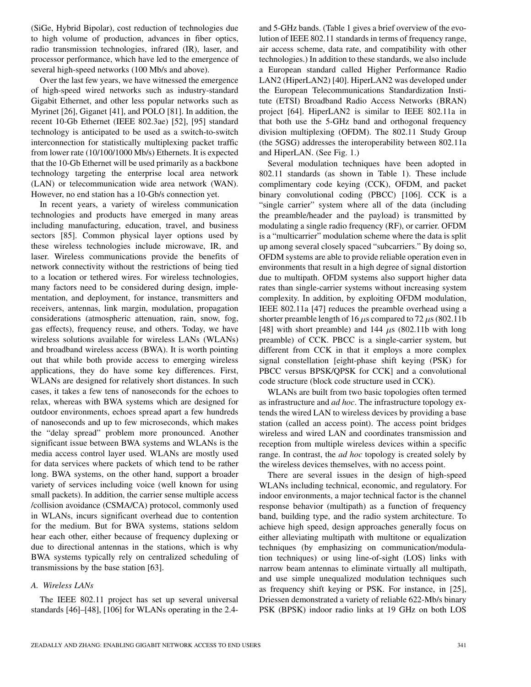(SiGe, Hybrid Bipolar), cost reduction of technologies due to high volume of production, advances in fiber optics, radio transmission technologies, infrared (IR), laser, and processor performance, which have led to the emergence of several high-speed networks (100 Mb/s and above).

Over the last few years, we have witnessed the emergence of high-speed wired networks such as industry-standard Gigabit Ethernet, and other less popular networks such as Myrinet [[26\]](#page-11-0), Giganet [\[41](#page-12-0)], and POLO [\[81](#page-12-0)]. In addition, the recent 10-Gb Ethernet (IEEE 802.3ae) [\[52](#page-12-0)], [\[95](#page-13-0)] standard technology is anticipated to be used as a switch-to-switch interconnection for statistically multiplexing packet traffic from lower rate (10/100/1000 Mb/s) Ethernets. It is expected that the 10-Gb Ethernet will be used primarily as a backbone technology targeting the enterprise local area network (LAN) or telecommunication wide area network (WAN). However, no end station has a 10-Gb/s connection yet.

In recent years, a variety of wireless communication technologies and products have emerged in many areas including manufacturing, education, travel, and business sectors [\[85](#page-12-0)]. Common physical layer options used by these wireless technologies include microwave, IR, and laser. Wireless communications provide the benefits of network connectivity without the restrictions of being tied to a location or tethered wires. For wireless technologies, many factors need to be considered during design, implementation, and deployment, for instance, transmitters and receivers, antennas, link margin, modulation, propagation considerations (atmospheric attenuation, rain, snow, fog, gas effects), frequency reuse, and others. Today, we have wireless solutions available for wireless LANs (WLANs) and broadband wireless access (BWA). It is worth pointing out that while both provide access to emerging wireless applications, they do have some key differences. First, WLANs are designed for relatively short distances. In such cases, it takes a few tens of nanoseconds for the echoes to relax, whereas with BWA systems which are designed for outdoor environments, echoes spread apart a few hundreds of nanoseconds and up to few microseconds, which makes the "delay spread" problem more pronounced. Another significant issue between BWA systems and WLANs is the media access control layer used. WLANs are mostly used for data services where packets of which tend to be rather long. BWA systems, on the other hand, support a broader variety of services including voice (well known for using small packets). In addition, the carrier sense multiple access /collision avoidance (CSMA/CA) protocol, commonly used in WLANs, incurs significant overhead due to contention for the medium. But for BWA systems, stations seldom hear each other, either because of frequency duplexing or due to directional antennas in the stations, which is why BWA systems typically rely on centralized scheduling of transmissions by the base station [\[63](#page-12-0)].

## *A. Wireless LANs*

The IEEE 802.11 project has set up several universal standards [\[46](#page-12-0)]–[[48\]](#page-12-0), [[106\]](#page-13-0) for WLANs operating in the 2.4and 5-GHz bands. (Table 1 gives a brief overview of the evolution of IEEE 802.11 standards in terms of frequency range, air access scheme, data rate, and compatibility with other technologies.) In addition to these standards, we also include a European standard called Higher Performance Radio LAN2 (HiperLAN2) [[40\]](#page-12-0). HiperLAN2 was developed under the European Telecommunications Standardization Institute (ETSI) Broadband Radio Access Networks (BRAN) project [[64\]](#page-12-0). HiperLAN2 is similar to IEEE 802.11a in that both use the 5-GHz band and orthogonal frequency division multiplexing (OFDM). The 802.11 Study Group (the 5GSG) addresses the interoperability between 802.11a and HiperLAN. (See Fig. 1.)

Several modulation techniques have been adopted in 802.11 standards (as shown in Table 1). These include complimentary code keying (CCK), OFDM, and packet binary convolutional coding (PBCC) [[106\]](#page-13-0). CCK is a "single carrier" system where all of the data (including the preamble/header and the payload) is transmitted by modulating a single radio frequency (RF), or carrier. OFDM is a "multicarrier" modulation scheme where the data is split up among several closely spaced "subcarriers." By doing so, OFDM systems are able to provide reliable operation even in environments that result in a high degree of signal distortion due to multipath. OFDM systems also support higher data rates than single-carrier systems without increasing system complexity. In addition, by exploiting OFDM modulation, IEEE 802.11a [\[47](#page-12-0)] reduces the preamble overhead using a shorter preamble length of 16  $\mu$ s compared to 72  $\mu$ s (802.11b) [\[48](#page-12-0)] with short preamble) and 144  $\mu$ s (802.11b with long preamble) of CCK. PBCC is a single-carrier system, but different from CCK in that it employs a more complex signal constellation [eight-phase shift keying (PSK) for PBCC versus BPSK/QPSK for CCK] and a convolutional code structure (block code structure used in CCK).

WLANs are built from two basic topologies often termed as infrastructure and *ad hoc*. The infrastructure topology extends the wired LAN to wireless devices by providing a base station (called an access point). The access point bridges wireless and wired LAN and coordinates transmission and reception from multiple wireless devices within a specific range. In contrast, the *ad hoc* topology is created solely by the wireless devices themselves, with no access point.

There are several issues in the design of high-speed WLANs including technical, economic, and regulatory. For indoor environments, a major technical factor is the channel response behavior (multipath) as a function of frequency band, building type, and the radio system architecture. To achieve high speed, design approaches generally focus on either alleviating multipath with multitone or equalization techniques (by emphasizing on communication/modulation techniques) or using line-of-sight (LOS) links with narrow beam antennas to eliminate virtually all multipath, and use simple unequalized modulation techniques such as frequency shift keying or PSK. For instance, in [\[25](#page-11-0)], Driessen demonstrated a variety of reliable 622-Mb/s binary PSK (BPSK) indoor radio links at 19 GHz on both LOS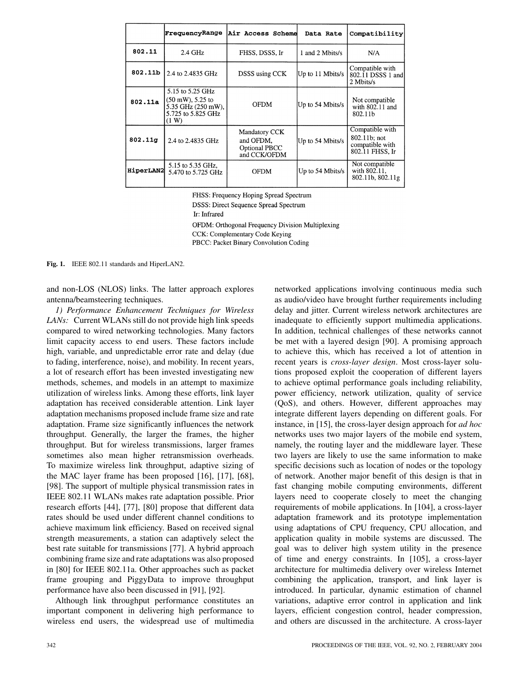|                     | FrequencyRange                                                                                       | Air Access Scheme                                                  | Data Rate           | Compatibility                                                         |
|---------------------|------------------------------------------------------------------------------------------------------|--------------------------------------------------------------------|---------------------|-----------------------------------------------------------------------|
| 802.11              | $2.4$ GHz                                                                                            | FHSS, DSSS, Ir                                                     | 1 and 2 Mbits/s     | N/A                                                                   |
| 802.11b             | 2.4 to 2.4835 GHz                                                                                    | DSSS using CCK                                                     | Up to 11 Mbits/s    | Compatible with<br>802.11 DSSS 1 and<br>2 Mbits/s                     |
| 802.11a             | 5.15 to 5.25 GHz<br>$(50 \text{ mW})$ , 5.25 to<br>5.35 GHz (250 mW).<br>5.725 to 5.825 GHz<br>(1 W) | <b>OFDM</b>                                                        | Up to 54 Mbits/ $s$ | Not compatible<br>with 802.11 and<br>802.11b                          |
| 802.11 <sub>q</sub> | 2.4 to 2.4835 GHz                                                                                    | Mandatory CCK<br>and OFDM.<br><b>Optional PBCC</b><br>and CCK/OFDM | Up to 54 Mbits/s    | Compatible with<br>802.11b: not<br>compatible with<br>802.11 FHSS. Ir |
| HiperLAN2           | 5.15 to 5.35 GHz,<br>5.470 to 5.725 GHz                                                              | <b>OFDM</b>                                                        | Up to $54$ Mbits/s  | Not compatible<br>with 802.11,<br>802.11b, 802.11g                    |

FHSS: Frequency Hoping Spread Spectrum

DSSS: Direct Sequence Spread Spectrum

Ir: Infrared

OFDM: Orthogonal Frequency Division Multiplexing

CCK: Complementary Code Keying

PBCC: Packet Binary Convolution Coding

**Fig. 1.** IEEE 802.11 standards and HiperLAN2.

and non-LOS (NLOS) links. The latter approach explores antenna/beamsteering techniques.

*1) Performance Enhancement Techniques for Wireless LANs:* Current WLANs still do not provide high link speeds compared to wired networking technologies. Many factors limit capacity access to end users. These factors include high, variable, and unpredictable error rate and delay (due to fading, interference, noise), and mobility. In recent years, a lot of research effort has been invested investigating new methods, schemes, and models in an attempt to maximize utilization of wireless links. Among these efforts, link layer adaptation has received considerable attention. Link layer adaptation mechanisms proposed include frame size and rate adaptation. Frame size significantly influences the network throughput. Generally, the larger the frames, the higher throughput. But for wireless transmissions, larger frames sometimes also mean higher retransmission overheads. To maximize wireless link throughput, adaptive sizing of the MAC layer frame has been proposed [\[16\]](#page-11-0), [\[17](#page-11-0)], [\[68](#page-12-0)], [\[98](#page-13-0)]. The support of multiple physical transmission rates in IEEE 802.11 WLANs makes rate adaptation possible. Prior research efforts [\[44](#page-12-0)], [[77\]](#page-12-0), [\[80](#page-12-0)] propose that different data rates should be used under different channel conditions to achieve maximum link efficiency. Based on received signal strength measurements, a station can adaptively select the best rate suitable for transmissions [\[77\]](#page-12-0). A hybrid approach combining frame size and rate adaptations was also proposed in [[80\]](#page-12-0) for IEEE 802.11a. Other approaches such as packet frame grouping and PiggyData to improve throughput performance have also been discussed in [\[91](#page-13-0)], [[92\]](#page-13-0).

Although link throughput performance constitutes an important component in delivering high performance to wireless end users, the widespread use of multimedia networked applications involving continuous media such as audio/video have brought further requirements including delay and jitter. Current wireless network architectures are inadequate to efficiently support multimedia applications. In addition, technical challenges of these networks cannot be met with a layered design [[90\]](#page-13-0). A promising approach to achieve this, which has received a lot of attention in recent years is *cross-layer design*. Most cross-layer solutions proposed exploit the cooperation of different layers to achieve optimal performance goals including reliability, power efficiency, network utilization, quality of service (QoS), and others. However, different approaches may integrate different layers depending on different goals. For instance, in [\[15](#page-11-0)], the cross-layer design approach for *ad hoc* networks uses two major layers of the mobile end system, namely, the routing layer and the middleware layer. These two layers are likely to use the same information to make specific decisions such as location of nodes or the topology of network. Another major benefit of this design is that in fast changing mobile computing environments, different layers need to cooperate closely to meet the changing requirements of mobile applications. In [\[104](#page-13-0)], a cross-layer adaptation framework and its prototype implementation using adaptations of CPU frequency, CPU allocation, and application quality in mobile systems are discussed. The goal was to deliver high system utility in the presence of time and energy constraints. In [[105\]](#page-13-0), a cross-layer architecture for multimedia delivery over wireless Internet combining the application, transport, and link layer is introduced. In particular, dynamic estimation of channel variations, adaptive error control in application and link layers, efficient congestion control, header compression, and others are discussed in the architecture. A cross-layer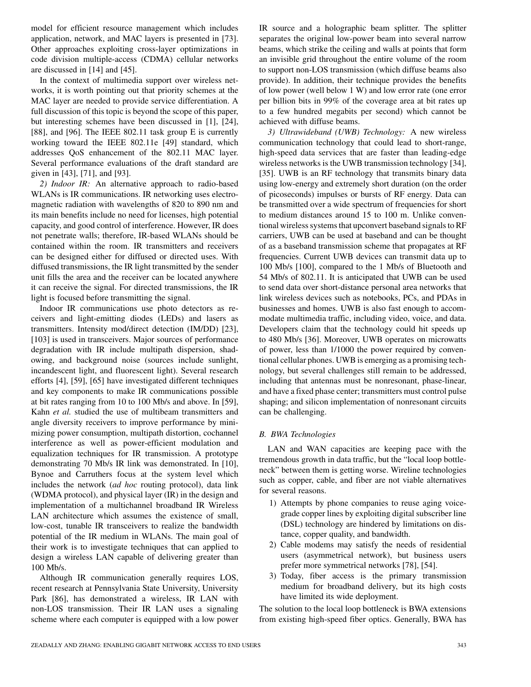model for efficient resource management which includes application, network, and MAC layers is presented in [\[73](#page-12-0)]. Other approaches exploiting cross-layer optimizations in code division multiple-access (CDMA) cellular networks are discussed in [[14\]](#page-11-0) and [\[45](#page-12-0)].

In the context of multimedia support over wireless networks, it is worth pointing out that priority schemes at the MAC layer are needed to provide service differentiation. A full discussion of this topic is beyond the scope of this paper, but interesting schemes have been discussed in [[1\]](#page-11-0), [\[24](#page-11-0)], [\[88](#page-12-0)], and [\[96](#page-13-0)]. The IEEE 802.11 task group E is currently working toward the IEEE 802.11e [[49\]](#page-12-0) standard, which addresses QoS enhancement of the 802.11 MAC layer. Several performance evaluations of the draft standard are given in [\[43](#page-12-0)], [\[71](#page-12-0)], and [\[93](#page-13-0)].

*2) Indoor IR:* An alternative approach to radio-based WLANs is IR communications. IR networking uses electromagnetic radiation with wavelengths of 820 to 890 nm and its main benefits include no need for licenses, high potential capacity, and good control of interference. However, IR does not penetrate walls; therefore, IR-based WLANs should be contained within the room. IR transmitters and receivers can be designed either for diffused or directed uses. With diffused transmissions, the IR light transmitted by the sender unit fills the area and the receiver can be located anywhere it can receive the signal. For directed transmissions, the IR light is focused before transmitting the signal.

Indoor IR communications use photo detectors as receivers and light-emitting diodes (LEDs) and lasers as transmitters. Intensity mod/direct detection (IM/DD) [\[23](#page-11-0)], [\[103](#page-13-0)] is used in transceivers. Major sources of performance degradation with IR include multipath dispersion, shadowing, and background noise (sources include sunlight, incandescent light, and fluorescent light). Several research efforts [[4\]](#page-11-0), [\[59\]](#page-12-0), [\[65](#page-12-0)] have investigated different techniques and key components to make IR communications possible at bit rates ranging from 10 to 100 Mb/s and above. In [\[59](#page-12-0)], Kahn *et al.* studied the use of multibeam transmitters and angle diversity receivers to improve performance by minimizing power consumption, multipath distortion, cochannel interference as well as power-efficient modulation and equalization techniques for IR transmission. A prototype demonstrating 70 Mb/s IR link was demonstrated. In [\[10](#page-11-0)], Bynoe and Carruthers focus at the system level which includes the network (*ad hoc* routing protocol), data link (WDMA protocol), and physical layer (IR) in the design and implementation of a multichannel broadband IR Wireless LAN architecture which assumes the existence of small, low-cost, tunable IR transceivers to realize the bandwidth potential of the IR medium in WLANs. The main goal of their work is to investigate techniques that can applied to design a wireless LAN capable of delivering greater than 100 Mb/s.

Although IR communication generally requires LOS, recent research at Pennsylvania State University, University Park [\[86](#page-12-0)], has demonstrated a wireless, IR LAN with non-LOS transmission. Their IR LAN uses a signaling scheme where each computer is equipped with a low power

IR source and a holographic beam splitter. The splitter separates the original low-power beam into several narrow beams, which strike the ceiling and walls at points that form an invisible grid throughout the entire volume of the room to support non-LOS transmission (which diffuse beams also provide). In addition, their technique provides the benefits of low power (well below 1 W) and low error rate (one error per billion bits in 99% of the coverage area at bit rates up to a few hundred megabits per second) which cannot be achieved with diffuse beams.

*3) Ultrawideband (UWB) Technology:* A new wireless communication technology that could lead to short-range, high-speed data services that are faster than leading-edge wireless networks is the UWB transmission technology [\[34](#page-11-0)], [\[35](#page-11-0)]. UWB is an RF technology that transmits binary data using low-energy and extremely short duration (on the order of picoseconds) impulses or bursts of RF energy. Data can be transmitted over a wide spectrum of frequencies for short to medium distances around 15 to 100 m. Unlike conventional wireless systems that upconvert baseband signals to RF carriers, UWB can be used at baseband and can be thought of as a baseband transmission scheme that propagates at RF frequencies. Current UWB devices can transmit data up to 100 Mb/s [\[100](#page-13-0)], compared to the 1 Mb/s of Bluetooth and 54 Mb/s of 802.11. It is anticipated that UWB can be used to send data over short-distance personal area networks that link wireless devices such as notebooks, PCs, and PDAs in businesses and homes. UWB is also fast enough to accommodate multimedia traffic, including video, voice, and data. Developers claim that the technology could hit speeds up to 480 Mb/s [[36\]](#page-11-0). Moreover, UWB operates on microwatts of power, less than 1/1000 the power required by conventional cellular phones. UWB is emerging as a promising technology, but several challenges still remain to be addressed, including that antennas must be nonresonant, phase-linear, and have a fixed phase center; transmitters must control pulse shaping; and silicon implementation of nonresonant circuits can be challenging.

## *B. BWA Technologies*

LAN and WAN capacities are keeping pace with the tremendous growth in data traffic, but the "local loop bottleneck" between them is getting worse. Wireline technologies such as copper, cable, and fiber are not viable alternatives for several reasons.

- 1) Attempts by phone companies to reuse aging voicegrade copper lines by exploiting digital subscriber line (DSL) technology are hindered by limitations on distance, copper quality, and bandwidth.
- 2) Cable modems may satisfy the needs of residential users (asymmetrical network), but business users prefer more symmetrical networks [\[78](#page-12-0)], [\[54](#page-12-0)].
- 3) Today, fiber access is the primary transmission medium for broadband delivery, but its high costs have limited its wide deployment.

The solution to the local loop bottleneck is BWA extensions from existing high-speed fiber optics. Generally, BWA has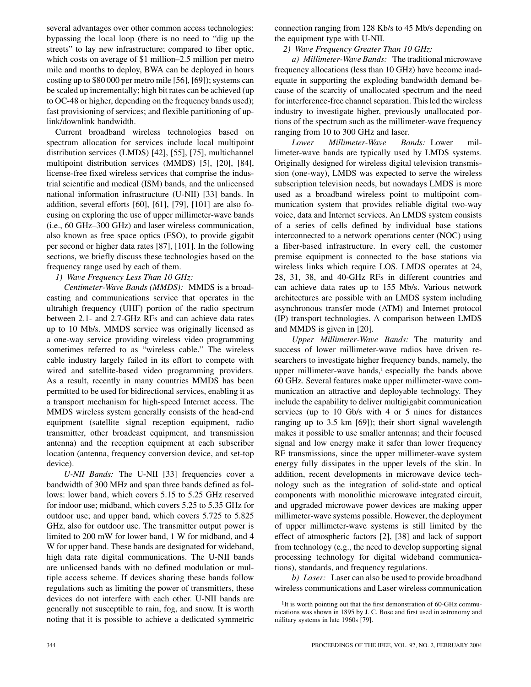several advantages over other common access technologies: bypassing the local loop (there is no need to "dig up the streets" to lay new infrastructure; compared to fiber optic, which costs on average of \$1 million–2.5 million per metro mile and months to deploy, BWA can be deployed in hours costing up to \$80 000 per metro mile [[56\]](#page-12-0), [\[69](#page-12-0)]); systems can be scaled up incrementally; high bit rates can be achieved (up to OC-48 or higher, depending on the frequency bands used); fast provisioning of services; and flexible partitioning of uplink/downlink bandwidth.

Current broadband wireless technologies based on spectrum allocation for services include local multipoint distribution services (LMDS) [\[42](#page-12-0)], [\[55](#page-12-0)], [\[75](#page-12-0)], multichannel multipoint distribution services (MMDS) [[5\]](#page-11-0), [[20\]](#page-11-0), [\[84](#page-12-0)], license-free fixed wireless services that comprise the industrial scientific and medical (ISM) bands, and the unlicensed national information infrastructure (U-NII) [\[33](#page-11-0)] bands. In addition, several efforts [\[60](#page-12-0)], [[61\]](#page-12-0), [[79\]](#page-12-0), [\[101](#page-13-0)] are also focusing on exploring the use of upper millimeter-wave bands (i.e., 60 GHz–300 GHz) and laser wireless communication, also known as free space optics (FSO), to provide gigabit per second or higher data rates [\[87](#page-12-0)], [[101\]](#page-13-0). In the following sections, we briefly discuss these technologies based on the frequency range used by each of them.

*1) Wave Frequency Less Than 10 GHz:*

*Centimeter-Wave Bands (MMDS):* MMDS is a broadcasting and communications service that operates in the ultrahigh frequency (UHF) portion of the radio spectrum between 2.1- and 2.7-GHz RFs and can achieve data rates up to 10 Mb/s. MMDS service was originally licensed as a one-way service providing wireless video programming sometimes referred to as "wireless cable." The wireless cable industry largely failed in its effort to compete with wired and satellite-based video programming providers. As a result, recently in many countries MMDS has been permitted to be used for bidirectional services, enabling it as a transport mechanism for high-speed Internet access. The MMDS wireless system generally consists of the head-end equipment (satellite signal reception equipment, radio transmitter, other broadcast equipment, and transmission antenna) and the reception equipment at each subscriber location (antenna, frequency conversion device, and set-top device).

*U-NII Bands:* The U-NII [\[33](#page-11-0)] frequencies cover a bandwidth of 300 MHz and span three bands defined as follows: lower band, which covers 5.15 to 5.25 GHz reserved for indoor use; midband, which covers 5.25 to 5.35 GHz for outdoor use; and upper band, which covers 5.725 to 5.825 GHz, also for outdoor use. The transmitter output power is limited to 200 mW for lower band, 1 W for midband, and 4 W for upper band. These bands are designated for wideband, high data rate digital communications. The U-NII bands are unlicensed bands with no defined modulation or multiple access scheme. If devices sharing these bands follow regulations such as limiting the power of transmitters, these devices do not interfere with each other. U-NII bands are generally not susceptible to rain, fog, and snow. It is worth noting that it is possible to achieve a dedicated symmetric connection ranging from 128 Kb/s to 45 Mb/s depending on the equipment type with U-NII.

*2) Wave Frequency Greater Than 10 GHz:*

*a) Millimeter-Wave Bands:* The traditional microwave frequency allocations (less than 10 GHz) have become inadequate in supporting the exploding bandwidth demand because of the scarcity of unallocated spectrum and the need for interference-free channel separation. This led the wireless industry to investigate higher, previously unallocated portions of the spectrum such as the millimeter-wave frequency ranging from 10 to 300 GHz and laser.

*Lower Millimeter-Wave Bands:* Lower millimeter-wave bands are typically used by LMDS systems. Originally designed for wireless digital television transmission (one-way), LMDS was expected to serve the wireless subscription television needs, but nowadays LMDS is more used as a broadband wireless point to multipoint communication system that provides reliable digital two-way voice, data and Internet services. An LMDS system consists of a series of cells defined by individual base stations interconnected to a network operations center (NOC) using a fiber-based infrastructure. In every cell, the customer premise equipment is connected to the base stations via wireless links which require LOS. LMDS operates at 24, 28, 31, 38, and 40-GHz RFs in different countries and can achieve data rates up to 155 Mb/s. Various network architectures are possible with an LMDS system including asynchronous transfer mode (ATM) and Internet protocol (IP) transport technologies. A comparison between LMDS and MMDS is given in [\[20](#page-11-0)].

*Upper Millimeter-Wave Bands:* The maturity and success of lower millimeter-wave radios have driven researchers to investigate higher frequency bands, namely, the upper millimeter-wave bands, $\frac{1}{2}$  especially the bands above 60 GHz. Several features make upper millimeter-wave communication an attractive and deployable technology. They include the capability to deliver multigigabit communication services (up to 10 Gb/s with 4 or 5 nines for distances ranging up to 3.5 km [\[69](#page-12-0)]); their short signal wavelength makes it possible to use smaller antennas; and their focused signal and low energy make it safer than lower frequency RF transmissions, since the upper millimeter-wave system energy fully dissipates in the upper levels of the skin. In addition, recent developments in microwave device technology such as the integration of solid-state and optical components with monolithic microwave integrated circuit, and upgraded microwave power devices are making upper millimeter-wave systems possible. However, the deployment of upper millimeter-wave systems is still limited by the effect of atmospheric factors [\[2](#page-11-0)], [[38\]](#page-12-0) and lack of support from technology (e.g., the need to develop supporting signal processing technology for digital wideband communications), standards, and frequency regulations.

*b) Laser:* Laser can also be used to provide broadband wireless communications and Laser wireless communication

<sup>&</sup>lt;sup>1</sup>It is worth pointing out that the first demonstration of 60-GHz communications was shown in 1895 by J. C. Bose and first used in astronomy and military systems in late 1960s [[79\]](#page-12-0).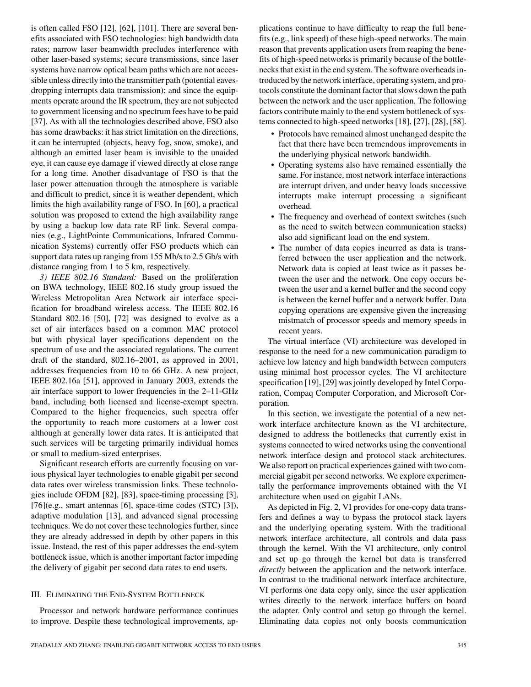is often called FSO [\[12](#page-11-0)], [[62\]](#page-12-0), [[101\]](#page-13-0). There are several benefits associated with FSO technologies: high bandwidth data rates; narrow laser beamwidth precludes interference with other laser-based systems; secure transmissions, since laser systems have narrow optical beam paths which are not accessible unless directly into the transmitter path (potential eavesdropping interrupts data transmission); and since the equipments operate around the IR spectrum, they are not subjected to government licensing and no spectrum fees have to be paid [\[37](#page-12-0)]. As with all the technologies described above, FSO also has some drawbacks: it has strict limitation on the directions, it can be interrupted (objects, heavy fog, snow, smoke), and although an emitted laser beam is invisible to the unaided eye, it can cause eye damage if viewed directly at close range for a long time. Another disadvantage of FSO is that the laser power attenuation through the atmosphere is variable and difficult to predict, since it is weather dependent, which limits the high availability range of FSO. In [[60\]](#page-12-0), a practical solution was proposed to extend the high availability range by using a backup low data rate RF link. Several companies (e.g., LightPointe Communications, Infrared Communication Systems) currently offer FSO products which can support data rates up ranging from 155 Mb/s to 2.5 Gb/s with distance ranging from 1 to 5 km, respectively.

*3) IEEE 802.16 Standard:* Based on the proliferation on BWA technology, IEEE 802.16 study group issued the Wireless Metropolitan Area Network air interface specification for broadband wireless access. The IEEE 802.16 Standard 802.16 [[50\]](#page-12-0), [[72\]](#page-12-0) was designed to evolve as a set of air interfaces based on a common MAC protocol but with physical layer specifications dependent on the spectrum of use and the associated regulations. The current draft of the standard, 802.16–2001, as approved in 2001, addresses frequencies from 10 to 66 GHz. A new project, IEEE 802.16a [\[51](#page-12-0)], approved in January 2003, extends the air interface support to lower frequencies in the 2–11-GHz band, including both licensed and license-exempt spectra. Compared to the higher frequencies, such spectra offer the opportunity to reach more customers at a lower cost although at generally lower data rates. It is anticipated that such services will be targeting primarily individual homes or small to medium-sized enterprises.

Significant research efforts are currently focusing on various physical layer technologies to enable gigabit per second data rates over wireless transmission links. These technologies include OFDM [\[82](#page-12-0)], [\[83](#page-12-0)], space-timing processing [\[3](#page-11-0)], [\[76](#page-12-0)](e.g., smart antennas [[6\]](#page-11-0), space-time codes (STC) [[3\]](#page-11-0)), adaptive modulation [[13\]](#page-11-0), and advanced signal processing techniques. We do not cover these technologies further, since they are already addressed in depth by other papers in this issue. Instead, the rest of this paper addresses the end-sytem bottleneck issue, which is another important factor impeding the delivery of gigabit per second data rates to end users.

## III. ELIMINATING THE END-SYSTEM BOTTLENECK

Processor and network hardware performance continues to improve. Despite these technological improvements, ap-

plications continue to have difficulty to reap the full benefits (e.g., link speed) of these high-speed networks. The main reason that prevents application users from reaping the benefits of high-speed networks is primarily because of the bottlenecks that exist in the end system. The software overheads introduced by the network interface, operating system, and protocols constitute the dominant factor that slows down the path between the network and the user application. The following factors contribute mainly to the end system bottleneck of systems connected to high-speed networks [\[18](#page-11-0)], [\[27](#page-11-0)], [\[28](#page-11-0)], [\[58](#page-12-0)].

- Protocols have remained almost unchanged despite the fact that there have been tremendous improvements in the underlying physical network bandwidth.
- Operating systems also have remained essentially the same. For instance, most network interface interactions are interrupt driven, and under heavy loads successive interrupts make interrupt processing a significant overhead.
- The frequency and overhead of context switches (such as the need to switch between communication stacks) also add significant load on the end system.
- The number of data copies incurred as data is transferred between the user application and the network. Network data is copied at least twice as it passes between the user and the network. One copy occurs between the user and a kernel buffer and the second copy is between the kernel buffer and a network buffer. Data copying operations are expensive given the increasing mistmatch of processor speeds and memory speeds in recent years.

The virtual interface (VI) architecture was developed in response to the need for a new communication paradigm to achieve low latency and high bandwidth between computers using minimal host processor cycles. The VI architecture specification [[19\]](#page-11-0), [[29\]](#page-11-0) was jointly developed by Intel Corporation, Compaq Computer Corporation, and Microsoft Corporation.

In this section, we investigate the potential of a new network interface architecture known as the VI architecture, designed to address the bottlenecks that currently exist in systems connected to wired networks using the conventional network interface design and protocol stack architectures. We also report on practical experiences gained with two commercial gigabit per second networks. We explore experimentally the performance improvements obtained with the VI architecture when used on gigabit LANs.

As depicted in Fig. 2, VI provides for one-copy data transfers and defines a way to bypass the protocol stack layers and the underlying operating system. With the traditional network interface architecture, all controls and data pass through the kernel. With the VI architecture, only control and set up go through the kernel but data is transferred *directly* between the application and the network interface. In contrast to the traditional network interface architecture, VI performs one data copy only, since the user application writes directly to the network interface buffers on board the adapter. Only control and setup go through the kernel. Eliminating data copies not only boosts communication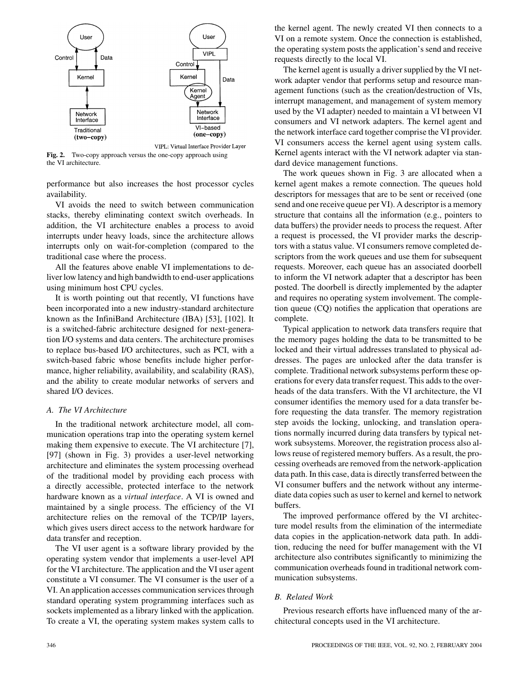

**Fig. 2.** Two-copy approach versus the one-copy approach using the VI architecture.

performance but also increases the host processor cycles availability.

VI avoids the need to switch between communication stacks, thereby eliminating context switch overheads. In addition, the VI architecture enables a process to avoid interrupts under heavy loads, since the architecture allows interrupts only on wait-for-completion (compared to the traditional case where the process.

All the features above enable VI implementations to deliver low latency and high bandwidth to end-user applications using minimum host CPU cycles.

It is worth pointing out that recently, VI functions have been incorporated into a new industry-standard architecture known as the InfiniBand Architecture (IBA) [\[53](#page-12-0)], [[102\]](#page-13-0). It is a switched-fabric architecture designed for next-generation I/O systems and data centers. The architecture promises to replace bus-based I/O architectures, such as PCI, with a switch-based fabric whose benefits include higher performance, higher reliability, availability, and scalability (RAS), and the ability to create modular networks of servers and shared I/O devices.

## *A. The VI Architecture*

In the traditional network architecture model, all communication operations trap into the operating system kernel making them expensive to execute. The VI architecture [\[7](#page-11-0)], [\[97](#page-13-0)] (shown in Fig. 3) provides a user-level networking architecture and eliminates the system processing overhead of the traditional model by providing each process with a directly accessible, protected interface to the network hardware known as a *virtual interface*. A VI is owned and maintained by a single process. The efficiency of the VI architecture relies on the removal of the TCP/IP layers, which gives users direct access to the network hardware for data transfer and reception.

The VI user agent is a software library provided by the operating system vendor that implements a user-level API for the VI architecture. The application and the VI user agent constitute a VI consumer. The VI consumer is the user of a VI. An application accesses communication services through standard operating system programming interfaces such as sockets implemented as a library linked with the application. To create a VI, the operating system makes system calls to

the kernel agent. The newly created VI then connects to a VI on a remote system. Once the connection is established, the operating system posts the application's send and receive requests directly to the local VI.

The kernel agent is usually a driver supplied by the VI network adapter vendor that performs setup and resource management functions (such as the creation/destruction of VIs, interrupt management, and management of system memory used by the VI adapter) needed to maintain a VI between VI consumers and VI network adapters. The kernel agent and the network interface card together comprise the VI provider. VI consumers access the kernel agent using system calls. Kernel agents interact with the VI network adapter via standard device management functions.

The work queues shown in Fig. 3 are allocated when a kernel agent makes a remote connection. The queues hold descriptors for messages that are to be sent or received (one send and one receive queue per VI). A descriptor is a memory structure that contains all the information (e.g., pointers to data buffers) the provider needs to process the request. After a request is processed, the VI provider marks the descriptors with a status value. VI consumers remove completed descriptors from the work queues and use them for subsequent requests. Moreover, each queue has an associated doorbell to inform the VI network adapter that a descriptor has been posted. The doorbell is directly implemented by the adapter and requires no operating system involvement. The completion queue (CQ) notifies the application that operations are complete.

Typical application to network data transfers require that the memory pages holding the data to be transmitted to be locked and their virtual addresses translated to physical addresses. The pages are unlocked after the data transfer is complete. Traditional network subsystems perform these operations for every data transfer request. This adds to the overheads of the data transfers. With the VI architecture, the VI consumer identifies the memory used for a data transfer before requesting the data transfer. The memory registration step avoids the locking, unlocking, and translation operations normally incurred during data transfers by typical network subsystems. Moreover, the registration process also allows reuse of registered memory buffers. As a result, the processing overheads are removed from the network-application data path. In this case, data is directly transferred between the VI consumer buffers and the network without any intermediate data copies such as user to kernel and kernel to network buffers.

The improved performance offered by the VI architecture model results from the elimination of the intermediate data copies in the application-network data path. In addition, reducing the need for buffer management with the VI architecture also contributes significantly to minimizing the communication overheads found in traditional network communication subsystems.

## *B. Related Work*

Previous research efforts have influenced many of the architectural concepts used in the VI architecture.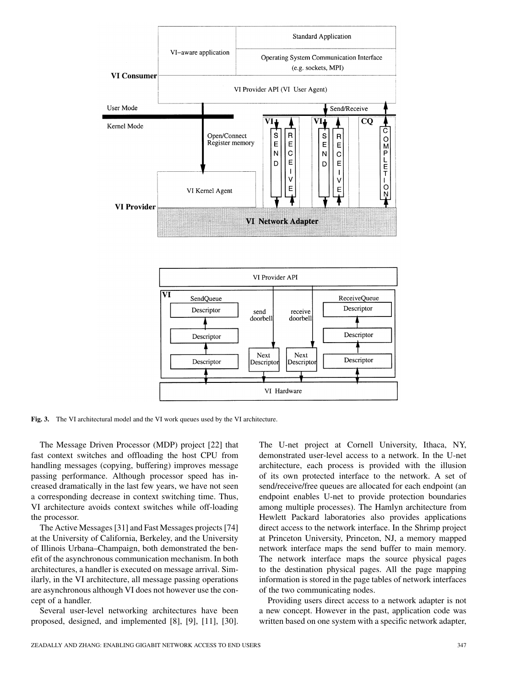



**Fig. 3.** The VI architectural model and the VI work queues used by the VI architecture.

The Message Driven Processor (MDP) project [\[22](#page-11-0)] that fast context switches and offloading the host CPU from handling messages (copying, buffering) improves message passing performance. Although processor speed has increased dramatically in the last few years, we have not seen a corresponding decrease in context switching time. Thus, VI architecture avoids context switches while off-loading the processor.

The Active Messages [[31\]](#page-11-0) and Fast Messages projects [[74\]](#page-12-0) at the University of California, Berkeley, and the University of Illinois Urbana–Champaign, both demonstrated the benefit of the asynchronous communication mechanism. In both architectures, a handler is executed on message arrival. Similarly, in the VI architecture, all message passing operations are asynchronous although VI does not however use the concept of a handler.

Several user-level networking architectures have been proposed, designed, and implemented [\[8](#page-11-0)], [[9\]](#page-11-0), [[11\]](#page-11-0), [\[30](#page-11-0)].

The U-net project at Cornell University, Ithaca, NY, demonstrated user-level access to a network. In the U-net architecture, each process is provided with the illusion of its own protected interface to the network. A set of send/receive/free queues are allocated for each endpoint (an endpoint enables U-net to provide protection boundaries among multiple processes). The Hamlyn architecture from Hewlett Packard laboratories also provides applications direct access to the network interface. In the Shrimp project at Princeton University, Princeton, NJ, a memory mapped network interface maps the send buffer to main memory. The network interface maps the source physical pages to the destination physical pages. All the page mapping information is stored in the page tables of network interfaces of the two communicating nodes.

Providing users direct access to a network adapter is not a new concept. However in the past, application code was written based on one system with a specific network adapter,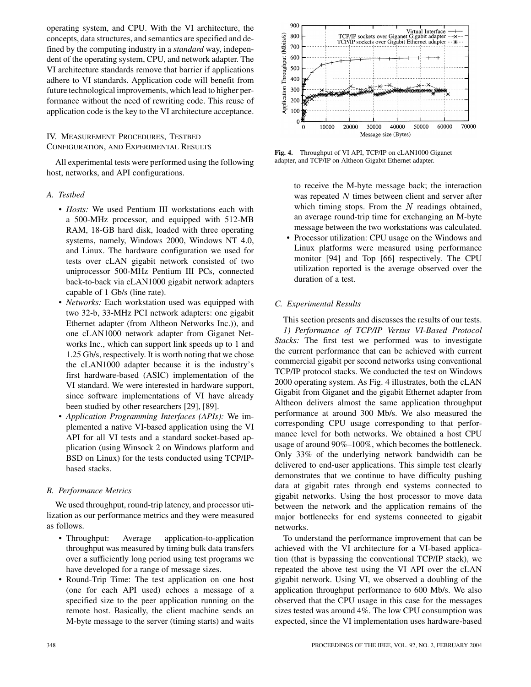operating system, and CPU. With the VI architecture, the concepts, data structures, and semantics are specified and defined by the computing industry in a *standard* way, independent of the operating system, CPU, and network adapter. The VI architecture standards remove that barrier if applications adhere to VI standards. Application code will benefit from future technological improvements, which lead to higher performance without the need of rewriting code. This reuse of application code is the key to the VI architecture acceptance.

IV. MEASUREMENT PROCEDURES, TESTBED CONFIGURATION, AND EXPERIMENTAL RESULTS

All experimental tests were performed using the following host, networks, and API configurations.

## *A. Testbed*

- *Hosts:* We used Pentium III workstations each with a 500-MHz processor, and equipped with 512-MB RAM, 18-GB hard disk, loaded with three operating systems, namely, Windows 2000, Windows NT 4.0, and Linux. The hardware configuration we used for tests over cLAN gigabit network consisted of two uniprocessor 500-MHz Pentium III PCs, connected back-to-back via cLAN1000 gigabit network adapters capable of 1 Gb/s (line rate).
- *Networks:* Each workstation used was equipped with two 32-b, 33-MHz PCI network adapters: one gigabit Ethernet adapter (from Altheon Networks Inc.)), and one cLAN1000 network adapter from Giganet Networks Inc., which can support link speeds up to 1 and 1.25 Gb/s, respectively. It is worth noting that we chose the cLAN1000 adapter because it is the industry's first hardware-based (ASIC) implementation of the VI standard. We were interested in hardware support, since software implementations of VI have already been studied by other researchers [\[29](#page-11-0)], [\[89](#page-12-0)].
- *Application Programming Interfaces (APIs):* We implemented a native VI-based application using the VI API for all VI tests and a standard socket-based application (using Winsock 2 on Windows platform and BSD on Linux) for the tests conducted using TCP/IPbased stacks.

## *B. Performance Metrics*

We used throughput, round-trip latency, and processor utilization as our performance metrics and they were measured as follows.

- Throughput: Average application-to-application throughput was measured by timing bulk data transfers over a sufficiently long period using test programs we have developed for a range of message sizes.
- Round-Trip Time: The test application on one host (one for each API used) echoes a message of a specified size to the peer application running on the remote host. Basically, the client machine sends an M-byte message to the server (timing starts) and waits



**Fig. 4.** Throughput of VI API, TCP/IP on cLAN1000 Giganet adapter, and TCP/IP on Altheon Gigabit Ethernet adapter.

to receive the M-byte message back; the interaction was repeated  $N$  times between client and server after which timing stops. From the  $N$  readings obtained, an average round-trip time for exchanging an M-byte message between the two workstations was calculated.

• Processor utilization: CPU usage on the Windows and Linux platforms were measured using performance monitor [[94](#page-13-0)] and Top [[66\]](#page-12-0) respectively. The CPU utilization reported is the average observed over the duration of a test.

## *C. Experimental Results*

This section presents and discusses the results of our tests. *1) Performance of TCP/IP Versus VI-Based Protocol Stacks:* The first test we performed was to investigate the current performance that can be achieved with current commercial gigabit per second networks using conventional TCP/IP protocol stacks. We conducted the test on Windows 2000 operating system. As Fig. 4 illustrates, both the cLAN Gigabit from Giganet and the gigabit Ethernet adapter from Altheon delivers almost the same application throughput performance at around 300 Mb/s. We also measured the corresponding CPU usage corresponding to that performance level for both networks. We obtained a host CPU usage of around 90%–100%, which becomes the bottleneck. Only 33% of the underlying network bandwidth can be delivered to end-user applications. This simple test clearly demonstrates that we continue to have difficulty pushing data at gigabit rates through end systems connected to gigabit networks. Using the host processor to move data between the network and the application remains of the major bottlenecks for end systems connected to gigabit networks.

To understand the performance improvement that can be achieved with the VI architecture for a VI-based application (that is bypassing the conventional TCP/IP stack), we repeated the above test using the VI API over the cLAN gigabit network. Using VI, we observed a doubling of the application throughput performance to 600 Mb/s. We also observed that the CPU usage in this case for the messages sizes tested was around 4%. The low CPU consumption was expected, since the VI implementation uses hardware-based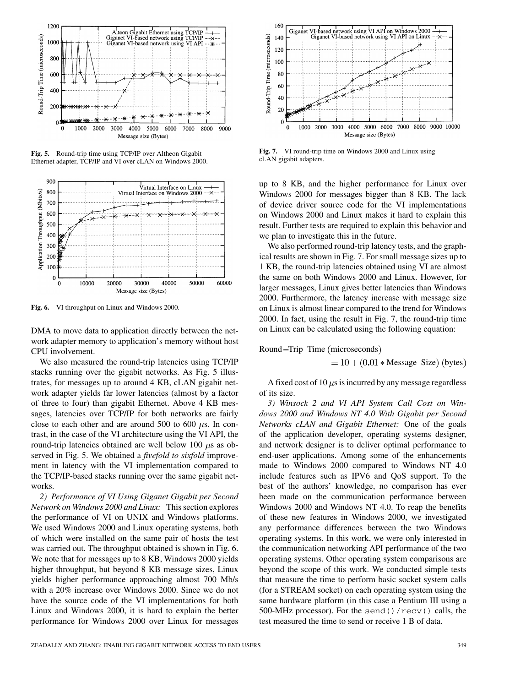

**Fig. 5.** Round-trip time using TCP/IP over Altheon Gigabit Ethernet adapter, TCP/IP and VI over cLAN on Windows 2000.



**Fig. 6.** VI throughput on Linux and Windows 2000.

DMA to move data to application directly between the network adapter memory to application's memory without host CPU involvement.

We also measured the round-trip latencies using TCP/IP stacks running over the gigabit networks. As Fig. 5 illustrates, for messages up to around 4 KB, cLAN gigabit network adapter yields far lower latencies (almost by a factor of three to four) than gigabit Ethernet. Above 4 KB messages, latencies over TCP/IP for both networks are fairly close to each other and are around 500 to 600  $\mu$ s. In contrast, in the case of the VI architecture using the VI API, the round-trip latencies obtained are well below 100  $\mu$ s as observed in Fig. 5. We obtained a *fivefold to sixfold* improvement in latency with the VI implementation compared to the TCP/IP-based stacks running over the same gigabit networks.

*2) Performance of VI Using Giganet Gigabit per Second Network on Windows 2000 and Linux:* This section explores the performance of VI on UNIX and Windows platforms. We used Windows 2000 and Linux operating systems, both of which were installed on the same pair of hosts the test was carried out. The throughput obtained is shown in Fig. 6. We note that for messages up to 8 KB, Windows 2000 yields higher throughput, but beyond 8 KB message sizes, Linux yields higher performance approaching almost 700 Mb/s with a 20% increase over Windows 2000. Since we do not have the source code of the VI implementations for both Linux and Windows 2000, it is hard to explain the better performance for Windows 2000 over Linux for messages



**Fig. 7.** VI round-trip time on Windows 2000 and Linux using cLAN gigabit adapters.

up to 8 KB, and the higher performance for Linux over Windows 2000 for messages bigger than 8 KB. The lack of device driver source code for the VI implementations on Windows 2000 and Linux makes it hard to explain this result. Further tests are required to explain this behavior and we plan to investigate this in the future.

We also performed round-trip latency tests, and the graphical results are shown in Fig. 7. For small message sizes up to 1 KB, the round-trip latencies obtained using VI are almost the same on both Windows 2000 and Linux. However, for larger messages, Linux gives better latencies than Windows 2000. Furthermore, the latency increase with message size on Linux is almost linear compared to the trend for Windows 2000. In fact, using the result in Fig. 7, the round-trip time on Linux can be calculated using the following equation:

Round Trip Time microseconds

 $= 10 + (0.01 * Message Size)$  (bytes)

A fixed cost of 10  $\mu$ s is incurred by any message regardless of its size.

*3) Winsock 2 and VI API System Call Cost on Windows 2000 and Windows NT 4.0 With Gigabit per Second Networks cLAN and Gigabit Ethernet:* One of the goals of the application developer, operating systems designer, and network designer is to deliver optimal performance to end-user applications. Among some of the enhancements made to Windows 2000 compared to Windows NT 4.0 include features such as IPV6 and QoS support. To the best of the authors' knowledge, no comparison has ever been made on the communication performance between Windows 2000 and Windows NT 4.0. To reap the benefits of these new features in Windows 2000, we investigated any performance differences between the two Windows operating systems. In this work, we were only interested in the communication networking API performance of the two operating systems. Other operating system comparisons are beyond the scope of this work. We conducted simple tests that measure the time to perform basic socket system calls (for a STREAM socket) on each operating system using the same hardware platform (in this case a Pentium III using a 500-MHz processor). For the send()/recv() calls, the test measured the time to send or receive 1 B of data.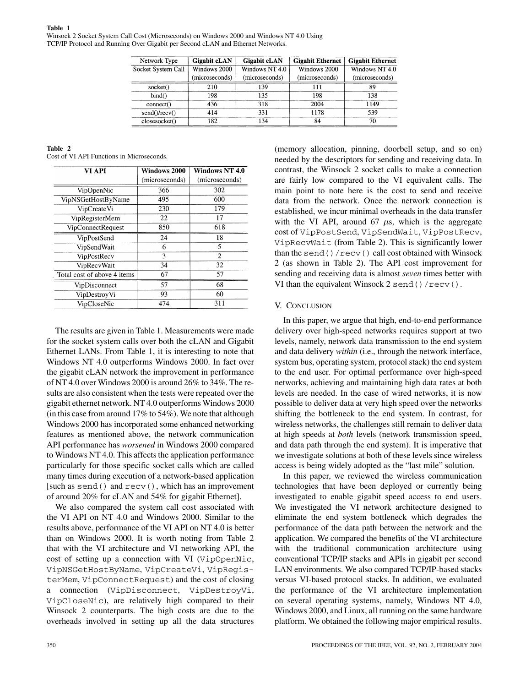| Network Type        | <b>Gigabit cLAN</b> | <b>Gigabit cLAN</b> | <b>Gigabit Ethernet</b> | <b>Gigabit Ethernet</b> |
|---------------------|---------------------|---------------------|-------------------------|-------------------------|
| Socket System Call  | Windows 2000        | Windows NT 4.0      | Windows 2000            | Windows NT 4.0          |
|                     | (microseconds)      | (microseconds)      | (microseconds)          | (microseconds)          |
| socket()            | 210                 | 139                 | 111                     | 89                      |
| bind()              | 198                 | 135                 | 198                     | 138                     |
| connect()           | 436                 | 318                 | 2004                    | 1149                    |
| $send()$ / $recv()$ | 414                 | 331                 | 1178                    | 539                     |
| closesocket()       | 182                 | 134                 | 84                      | 70                      |

**Table 2** Cost of VI API Functions in Microseconds.

| VI API                      | Windows 2000   | <b>Windows NT 4.0</b> |  |
|-----------------------------|----------------|-----------------------|--|
|                             | (microseconds) | (microseconds)        |  |
| VipOpenNic                  | 366            | 302                   |  |
| VipNSGetHostByName          | 495            | 600                   |  |
| VipCreateVi                 | 230            | 179                   |  |
| VipRegisterMem              | 22             | 17                    |  |
| VipConnectRequest           | 850            | 618                   |  |
| VipPostSend                 | 24             | 18                    |  |
| VipSendWait                 | 6              | 5                     |  |
| VipPostRecv                 | 3              | 2                     |  |
| VipRecvWait                 | 34             | 32                    |  |
| Total cost of above 4 items | 67             | 57                    |  |
| VipDisconnect               | 57             | 68                    |  |
| VipDestroyVi                | 93             | 60                    |  |
| VipCloseNic                 | 474            | 311                   |  |

The results are given in Table 1. Measurements were made for the socket system calls over both the cLAN and Gigabit Ethernet LANs. From Table 1, it is interesting to note that Windows NT 4.0 outperforms Windows 2000. In fact over the gigabit cLAN network the improvement in performance of NT 4.0 over Windows 2000 is around 26% to 34%. The results are also consistent when the tests were repeated over the gigabit ethernet network. NT 4.0 outperforms Windows 2000 (in this case from around 17% to 54%). We note that although Windows 2000 has incorporated some enhanced networking features as mentioned above, the network communication API performance has *worsened* in Windows 2000 compared to Windows NT 4.0. This affects the application performance particularly for those specific socket calls which are called many times during execution of a network-based application [such as send() and recv(), which has an improvement of around 20% for cLAN and 54% for gigabit Ethernet].

We also compared the system call cost associated with the VI API on NT 4.0 and Windows 2000. Similar to the results above, performance of the VI API on NT 4.0 is better than on Windows 2000. It is worth noting from Table 2 that with the VI architecture and VI networking API, the cost of setting up a connection with VI (VipOpenNic, VipNSGetHostByName, VipCreateVi, VipRegisterMem, VipConnectRequest) and the cost of closing a connection (VipDisconnect, VipDestroyVi, VipCloseNic), are relatively high compared to their Winsock 2 counterparts. The high costs are due to the overheads involved in setting up all the data structures

(memory allocation, pinning, doorbell setup, and so on) needed by the descriptors for sending and receiving data. In contrast, the Winsock 2 socket calls to make a connection are fairly low compared to the VI equivalent calls. The main point to note here is the cost to send and receive data from the network. Once the network connection is established, we incur minimal overheads in the data transfer with the VI API, around 67  $\mu$ s, which is the aggregate cost of VipPostSend, VipSendWait, VipPostRecv, VipRecvWait (from Table 2). This is significantly lower than the send()/recv() call cost obtained with Winsock 2 (as shown in Table 2). The API cost improvement for sending and receiving data is almost *seven* times better with VI than the equivalent Winsock 2 send()/recv().

## V. CONCLUSION

In this paper, we argue that high, end-to-end performance delivery over high-speed networks requires support at two levels, namely, network data transmission to the end system and data delivery *within* (i.e., through the network interface, system bus, operating system, protocol stack) the end system to the end user. For optimal performance over high-speed networks, achieving and maintaining high data rates at both levels are needed. In the case of wired networks, it is now possible to deliver data at very high speed over the networks shifting the bottleneck to the end system. In contrast, for wireless networks, the challenges still remain to deliver data at high speeds at *both* levels (network transmission speed, and data path through the end system). It is imperative that we investigate solutions at both of these levels since wireless access is being widely adopted as the "last mile" solution.

In this paper, we reviewed the wireless communication technologies that have been deployed or currently being investigated to enable gigabit speed access to end users. We investigated the VI network architecture designed to eliminate the end system bottleneck which degrades the performance of the data path between the network and the application. We compared the benefits of the VI architecture with the traditional communication architecture using conventional TCP/IP stacks and APIs in gigabit per second LAN environments. We also compared TCP/IP-based stacks versus VI-based protocol stacks. In addition, we evaluated the performance of the VI architecture implementation on several operating systems, namely, Windows NT 4.0, Windows 2000, and Linux, all running on the same hardware platform. We obtained the following major empirical results.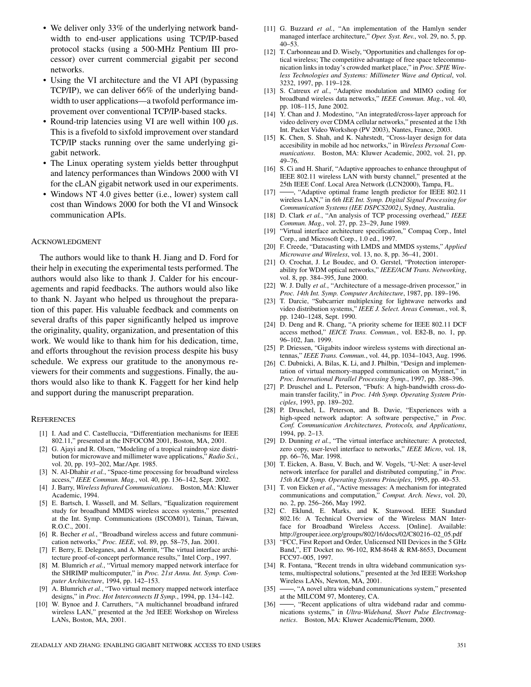- <span id="page-11-0"></span>• We deliver only 33% of the underlying network bandwidth to end-user applications using TCP/IP-based protocol stacks (using a 500-MHz Pentium III processor) over current commercial gigabit per second networks.
- Using the VI architecture and the VI API (bypassing TCP/IP), we can deliver 66% of the underlying bandwidth to user applications—a twofold performance improvement over conventional TCP/IP-based stacks.
- Round-trip latencies using VI are well within 100  $\mu$ s. This is a fivefold to sixfold improvement over standard TCP/IP stacks running over the same underlying gigabit network.
- The Linux operating system yields better throughput and latency performances than Windows 2000 with VI for the cLAN gigabit network used in our experiments.
- Windows NT 4.0 gives better (i.e., lower) system call cost than Windows 2000 for both the VI and Winsock communication APIs.

#### ACKNOWLEDGMENT

The authors would like to thank H. Jiang and D. Ford for their help in executing the experimental tests performed. The authors would also like to thank J. Calder for his encouragements and rapid feedbacks. The authors would also like to thank N. Jayant who helped us throughout the preparation of this paper. His valuable feedback and comments on several drafts of this paper significantly helped us improve the originality, quality, organization, and presentation of this work. We would like to thank him for his dedication, time, and efforts throughout the revision process despite his busy schedule. We express our gratitude to the anonymous reviewers for their comments and suggestions. Finally, the authors would also like to thank K. Faggett for her kind help and support during the manuscript preparation.

#### **REFERENCES**

- [1] I. Aad and C. Castelluccia, "Differentiation mechanisms for IEEE 802.11," presented at the INFOCOM 2001, Boston, MA, 2001.
- [2] G. Ajayi and R. Olsen, "Modeling of a tropical raindrop size distribution for microwave and millimeter wave applications," *Radio Sci.*, vol. 20, pp. 193–202, Mar./Apr. 1985.
- [3] N. Al-Dhahir *et al.*, "Space-time processing for broadband wireless access," *IEEE Commun. Mag.*, vol. 40, pp. 136–142, Sept. 2002.
- [4] J. Barry, *Wireless Infrared Communications*. Boston, MA: Kluwer Academic, 1994.
- [5] E. Bartsch, I. Wassell, and M. Sellars, "Equalization requirement study for broadband MMDS wireless access systems," presented at the Int. Symp. Communications (ISCOM01), Tainan, Taiwan, R.O.C., 2001.
- [6] R. Becher *et al.*, "Broadband wireless access and future communication networks," *Proc. IEEE*, vol. 89, pp. 58–75, Jan. 2001.
- [7] F. Berry, E. Deleganes, and A. Merritt, "The virtual interface architecture proof-of-concept performance results," Intel Corp., 1997.
- [8] M. Blumrich *et al.*, "Virtual memory mapped network interface for the SHRIMP multicomputer," in *Proc. 21st Annu. Int. Symp. Computer Architecture*, 1994, pp. 142–153.
- [9] A. Blumrich *et al.*, "Two virtual memory mapped network interface designs," in *Proc. Hot Interconnects II Symp.*, 1994, pp. 134–142.
- [10] W. Bynoe and J. Carruthers, "A multichannel broadband infrared wireless LAN," presented at the 3rd IEEE Workshop on Wireless LANs, Boston, MA, 2001.
- [11] G. Buzzard *et al.*, "An implementation of the Hamlyn sender managed interface architecture," *Oper. Syst. Rev.*, vol. 29, no. 5, pp. 40–53.
- [12] T. Carbonneau and D. Wisely, "Opportunities and challenges for optical wireless; The competitive advantage of free space telecommunication links in today's crowded market place," in *Proc. SPIE Wireless Technologies and Systems: Millimeter Wave and Optical*, vol. 3232, 1997, pp. 119–128.
- [13] S. Catreux *et al.*, "Adaptive modulation and MIMO coding for broadband wireless data networks," *IEEE Commun. Mag.*, vol. 40, pp. 108–115, June 2002.
- [14] Y. Chan and J. Modestino, "An integrated/cross-layer approach for video delivery over CDMA cellular networks," presented at the 13th Int. Packet Video Workshop (PV 2003), Nantes, France, 2003.
- [15] K. Chen, S. Shah, and K. Nahrstedt, "Cross-layer design for data accesibility in mobile ad hoc networks," in *Wireless Personal Communications*. Boston, MA: Kluwer Academic, 2002, vol. 21, pp. 49–76.
- [16] S. Ci and H. Sharif, "Adaptive approaches to enhance throughput of IEEE 802.11 wireless LAN with bursty channel," presented at the 25th IEEE Conf. Local Area Network (LCN2000), Tampa, FL.
- [17]  $\rightarrow$  "Adaptive optimal frame length predictor for IEEE 802.11" wireless LAN," in *6th IEE Int. Symp. Digital Signal Processing for Communication Systems (IEE DSPCS2002)*, Sydney, Australia.
- [18] D. Clark *et al.*, "An analysis of TCP processing overhead," *IEEE Commun. Mag.*, vol. 27, pp. 23–29, June 1989.
- [19] "Virtual interface architecture specification," Compaq Corp., Intel Corp., and Microsoft Corp., 1.0 ed., 1997.
- [20] F. Creede, "Datacasting with LMDS and MMDS systems," *Applied Microwave and Wireless*, vol. 13, no. 8, pp. 36–41, 2001.
- [21] O. Crochat, J. Le Boudec, and O. Gerstel, "Protection interoperability for WDM optical networks," *IEEE/ACM Trans. Networking*, vol. 8, pp. 384–395, June 2000.
- [22] W. J. Dally *et al.*, "Architecture of a message-driven processor," in *Proc. 14th Int. Symp. Computer Architecture*, 1987, pp. 189–196.
- [23] T. Darcie, "Subcarrier multiplexing for lightwave networks and video distribution systems," *IEEE J. Select. Areas Commun.*, vol. 8, pp. 1240–1248, Sept. 1990.
- [24] D. Deng and R. Chang, "A priority scheme for IEEE 802.11 DCF access method," *IEICE Trans. Commun.*, vol. E82-B, no. 1, pp. 96–102, Jan. 1999.
- [25] P. Driessen, "Gigabits indoor wireless systems with directional antennas," *IEEE Trans. Commun.*, vol. 44, pp. 1034–1043, Aug. 1996.
- [26] C. Dubnicki, A. Bilas, K. Li, and J. Philbin, "Design and implementation of virtual memory-mapped communication on Myrinet," in *Proc. International Parallel Processing Symp.*, 1997, pp. 388–396.
- [27] P. Druschel and L. Peterson, "Fbufs: A high-bandwidth cross-domain transfer facility," in *Proc. 14th Symp. Operating System Principles*, 1993, pp. 189–202.
- [28] P. Druschel, L. Peterson, and B. Davie, "Experiences with a high-speed network adaptor: A software perspective," in *Proc. Conf. Communication Architectures, Protocols, and Applications*, 1994, pp. 2–13.
- [29] D. Dunning *et al.*, "The virtual interface architecture: A protected, zero copy, user-level interface to networks," *IEEE Micro*, vol. 18, pp. 66–76, Mar. 1998.
- [30] T. Eicken, A. Basu, V. Buch, and W. Vogels, "U-Net: A user-level network interface for parallel and distributed computing," in *Proc. 15th ACM Symp. Operating Systems Principles*, 1995, pp. 40–53.
- [31] T. von Eicken et al., "Active messages: A mechanism for integrated communications and computation," *Comput. Arch. News*, vol. 20, no. 2, pp. 256–266, May 1992.
- [32] C. Eklund, E. Marks, and K. Stanwood. IEEE Standard 802.16: A Technical Overview of the Wireless MAN Interface for Broadband Wireless Access. [Online]. Available: http://grouper.ieee.org/groups/802/16/docs/02/C80216–02\_05.pdf
- [33] "FCC, First Report and Order, Unlicensed NII Devices in the 5 GHz Band,", ET Docket no. 96-102, RM-8648 & RM-8653, Document FCC97–005, 1997.
- [34] R. Fontana, "Recent trends in ultra wideband communication systems, multispectral solutions," presented at the 3rd IEEE Workshop Wireless LANs, Newton, MA, 2001.
- [35]  $\rightarrow$  "A novel ultra wideband communications system," presented at the MILCOM 97, Monterey, CA.
- [36] -, "Recent applications of ultra wideband radar and communications systems," in *Ultra-Wideband, Short Pulse Electromagnetics*. Boston, MA: Kluwer Academic/Plenum, 2000.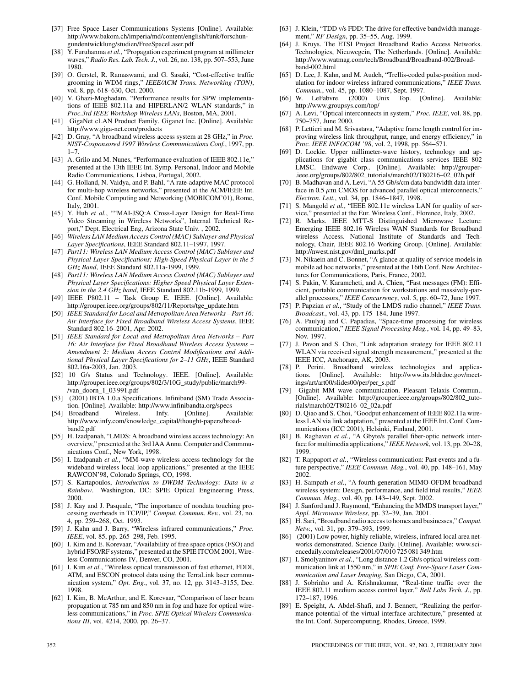- <span id="page-12-0"></span>[37] Free Space Laser Communications Systems [Online]. Available: http://www.bakom.ch/imperia/md/content/english/funk/forschungundentwicklung/studien/FreeSpaceLaser.pdf
- [38] Y. Furuhanma *et al.*, "Propagation experiment program at millimeter waves," *Radio Res. Lab. Tech. J.*, vol. 26, no. 138, pp. 507–553, June 1980.
- [39] O. Gerstel, R. Ramaswami, and G. Sasaki, "Cost-effective traffic grooming in WDM rings," *IEEE/ACM Trans. Networking (TON)*, vol. 8, pp. 618–630, Oct. 2000.
- [40] V. Ghazi-Moghadam, "Performance results for SPW implementations of IEEE 802.11a and HIPERLAN/2 WLAN standards," in *Proc.3rd IEEE Workshop Wireless LANs*, Boston, MA, 2001.
- [41] GigaNet cLAN Product Family. Giganet Inc. [Online]. Available: http://www.giga-net.com/products
- [42] D. Gray, "A broadband wireless access system at 28 GHz," in *Proc. NIST-Cosponsored 1997 Wireless Communications Conf.*, 1997, pp.  $1 - 7$ .
- [43] A. Grilo and M. Nunes, "Performance evaluation of IEEE 802.11e," presented at the 13th IEEE Int. Symp. Personal, Indoor and Mobile Radio Communications, Lisboa, Portugal, 2002.
- [44] G. Holland, N. Vaidya, and P. Bahl, "A rate-adaptive MAC protocol for multi-hop wireless networks," presented at the ACM/IEEE Int. Conf. Mobile Computing and Networking (MOBICOM'01), Rome, Italy, 2001.
- [45] Y. Huh et al., ""MAI-JSQ:A Cross-Layer Design for Real-Time Video Streaming in Wireless Networks", Internal Technical Report," Dept. Electrical Eng, Arizona State Univ. , 2002.
- [46] *Wireless LAN Medium Access Control (MAC) Sublayer and Physical Layer Specifications*, IEEE Standard 802.11–1997, 1997.
- [47] *Part11: Wireless LAN Medium Access Control (MAC) Sublayer and Physical Layer Specifications; High-Speed Physical Layer in the 5 GHz Band*, IEEE Standard 802.11a-1999, 1999.
- [48] *Part11: Wireless LAN Medium Access Control (MAC) Sublayer and Physical Layer Specifications: Higher Speed Physical Layer Extension in the 2.4 GHz band*, IEEE Standard 802.11b-1999, 1999.
- [49] IEEE P802.11 Task Group E. IEEE. [Online]. Available: http://grouper.ieee.org/groups/802/11/Reports/tge\_update.htm
- [50] *IEEE Standard for Local and Metropolitan Area Networks Part 16: Air Interface for Fixed Broadband Wireless Access Systems*, IEEE Standard 802.16–2001, Apr. 2002.
- [51] *IEEE Standard for Local and Metropolitan Area Networks Part 16: Air Interface for Fixed Broadband Wireless Access Systems – Amendment 2: Medium Access Control Modifications and Additional Physical Layer Specifications for 2–11 GHz*, IEEE Standard 802.16a-2003, Jan. 2003.
- [52] 10 G/s Status and Technology. IEEE. [Online]. Available: http://grouper.ieee.org/groups/802/3/10G\_study/public/march99- /van\_doorn\_1\_03 991.pdf
- [53] (2001) IBTA 1.0.a Specifications. Infiniband (SM) Trade Association. [Online]. Available: http://www.infinibandta.org/specs
- [54] Broadband Wireless. Infy. [Online]. Available: http://www.infy.com/knowledge\_capital/thought-papers/broadband2.pdf
- [55] H. Izadpanah, "LMDS: A broadband wireless access technology: An overview," presented at the 3rd IAA Annu. Computer and Commmunications Conf., New York, 1998.
- [56] I. Izadpanah *et al.*, "MM-wave wireless access technology for the wideband wireless local loop applications," presented at the IEEE RAWCON'98, Colorado Springs, CO, 1998.
- [57] S. Kartapoulos, *Introduction to DWDM Technology: Data in a Rainbow*. Washington, DC: SPIE Optical Engineering Press, 2000.
- [58] J. Kay and J. Pasquale, "The importance of nondata touching processing overheads in TCP/IP," *Comput. Commun. Rev.*, vol. 23, no. 4, pp. 259–268, Oct. 1993.
- [59] J. Kahn and J. Barry, "Wireless infrared communications," *Proc. IEEE*, vol. 85, pp. 265–298, Feb. 1995.
- [60] I. Kim and E. Korevaar, "Availability of free space optics (FSO) and hybrid FSO/RF systems," presented at the SPIE ITCOM 2001, Wireless Communications IV, Denver, CO, 2001.
- [61] I. Kim *et al.*, "Wireless optical transmission of fast ethernet, FDDI, ATM, and ESCON protocol data using the TerraLink laser communication system," *Opt. Eng.*, vol. 37, no. 12, pp. 3143–3155, Dec. 1998.
- [62] I. Kim, B. McArthur, and E. Korevaar, "Comparison of laser beam propagation at 785 nm and 850 nm in fog and haze for optical wireless communications," in *Proc. SPIE Optical Wireless Communications III*, vol. 4214, 2000, pp. 26–37.
- [63] J. Klein, "TDD v/s FDD: The drive for effective bandwidth management," *RF Design*, pp. 35–55, Aug. 1999.
- [64] J. Kruys. The ETSI Project Broadband Radio Access Networks. Technologies, Nieuwegein, The Netherlands. [Online]. Available: http://www.watmag.com/tech/Broadband/Broadband-002/Broadband-002.html
- [65] D. Lee, J. Kahn, and M. Audeh, "Trellis-coded pulse-position modulation for indoor wireless infrared communications," *IEEE Trans. Commun.*, vol. 45, pp. 1080–1087, Sept. 1997.
- [66] W. LeFabvre. (2000) Unix Top. [Online]. Available: http://www.groupsys.com/top/
- [67] A. Levi, "Optical interconnects in system," *Proc. IEEE*, vol. 88, pp. 750–757, June 2000.
- [68] P. Lettieri and M. Srivastava, "Adaptive frame length control for improving wireless link throughput, range, and energy efficiency," in *Proc. IEEE INFOCOM '98*, vol. 2, 1998, pp. 564–571.
- [69] D. Lockie. Upper millimeter-wave history, technology and applications for gigabit class communications services IEEE 802 LMSC. Endwave Corp.. [Online]. Available: http://grouper- .ieee.org/groups/802/802\_tutorials/march02/T80216–02\_02b.pdf
- [70] B. Madhavan and A. Levi, "A 55 Gb/s/cm data bandwidth data interface in  $0.5 \mu$ m CMOS for advanced parallel optical interconnects," *Electron. Lett.*, vol. 34, pp. 1846–1847, 1998.
- [71] S. Mangold *et al.*, "IEEE 802.11e wireless LAN for quality of service," presented at the Eur. Wireless Conf., Florence, Italy, 2002.
- [72] R. Marks. IEEE MTT-S Distinguished Microwave Lecture: Emerging IEEE 802.16 Wireless WAN Standards for Broadband wireless Access. National Institute of Standards and Technology, Chair, IEEE 802.16 Working Group. [Online]. Available: http://nwest.nist.gov/dml\_marks.pdf
- [73] N. Nikaein and C. Bonnet, "A glance at quality of service models in mobile ad hoc networks," presented at the 16th Conf. New Architectures for Communications, Paris, France, 2002.
- [74] S. Pakin, V. Karamcheti, and A. Chien, "Fast messages (FM): Efficient, portable communication for workstations and massively-parallel processors," *IEEE Concurrency*, vol. 5, pp. 60–72, June 1997.
- [75] P. Papzian et al., "Study of the LMDS radio channel," *IEEE Trans. Broadcast.*, vol. 43, pp. 175–184, June 1997.
- [76] A. Paulyaj and C. Papadias, "Space-time processing for wireless communication," *IEEE Signal Processing Mag.*, vol. 14, pp. 49–83, Nov. 1997.
- [77] J. Pavon and S. Choi, "Link adaptation strategy for IEEE 802.11 WLAN via received signal strength measurement," presented at the IEEE ICC, Anchorage, AK, 2003.
- [78] P. Perini. Broadband wireless technologies and applications. [Online]. Available: http://www.its.bldrdoc.gov/meetings/art/art00/slides00/per/per\_s.pdf
- [79] Gigabit MM wave communication. Pleasant Telaxis Commun.. [Online]. Available: http://grouper.ieee.org/groups/802/802\_tutorials/march02/T80216–02\_02a.pdf
- [80] D. Qiao and S. Choi, "Goodput enhancement of IEEE 802.11a wireless LAN via link adaptation," presented at the IEEE Int. Conf. Communications (ICC 2001), Helsinki, Finland, 2001.
- [81] B. Raghavan *et al.*, "A Gbyte/s parallel fiber-optic network interface for multimedia applications," *IEEE Network*, vol. 13, pp. 20–28, 1999.
- [82] T. Rappaport *et al.*, "Wireless communication: Past events and a future perspective," *IEEE Commun. Mag.*, vol. 40, pp. 148–161, May 2002.
- [83] H. Sampath *et al.*, "A fourth-generation MIMO-OFDM broadband wireless system: Design, performance, and field trial results," *IEEE Commun. Mag.*, vol. 40, pp. 143–149, Sept. 2002.
- [84] J. Sanford and J. Raymond, "Enhancing the MMDS transport layer," *Appl. Microwave Wireless*, pp. 32–39, Jan. 2001.
- [85] H. Sari, "Broadband radio access to homes and businesses," *Comput. Netw.*, vol. 31, pp. 379–393, 1999.
- [86] (2001) Low power, highly reliable, wireless, infrared local area networks demonstrated. Science Daily. [Online]. Available: www.sciencedaily.com/releases/2001/07/010 725 081 349.htm
- [87] I. Smolyaninov *et al.*, "Long distance 1.2 Gb/s optical wireless communication link at 1550 nm," in *SPIE Conf. Free-Space Laser Communication and Laser Imaging*, San Diego, CA, 2001.
- [88] J. Sobrinho and A. Krishnakumar, "Real-time traffic over the IEEE 802.11 medium access control layer," *Bell Labs Tech. J.*, pp. 172–187, 1996.
- [89] E. Speight, A. Abdel-Shafi, and J. Bennett, "Realizing the performance potential of the virtual interface architecture," presented at the Int. Conf. Supercomputing, Rhodes, Greece, 1999.